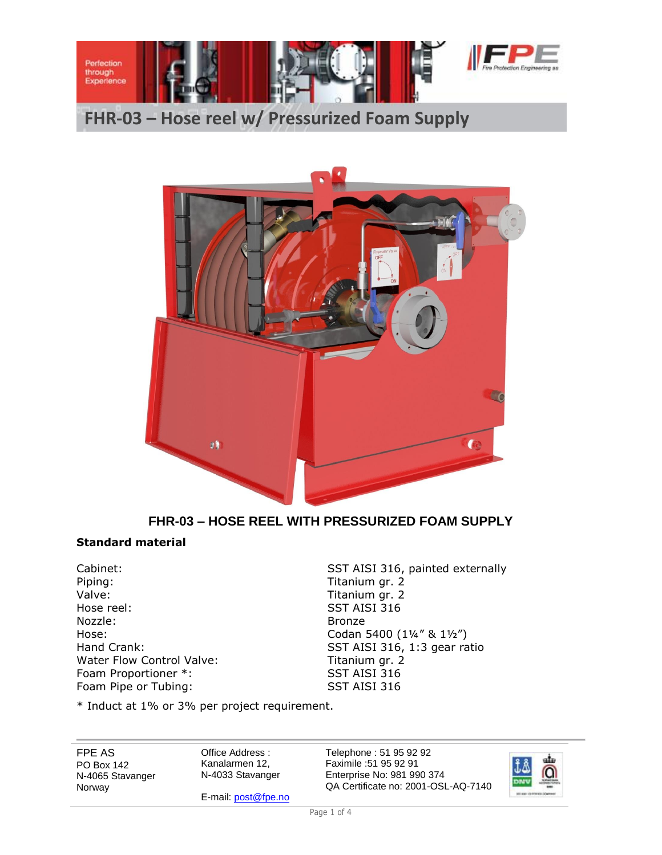

# **FHR-03 – Hose reel w/ Pressurized Foam Supply**



# **FHR-03 – HOSE REEL WITH PRESSURIZED FOAM SUPPLY**

## **Standard material**

Piping: Titanium gr. 2<br>Valve: Titanium gr. 2 Hose reel: SST AISI 316 Nozzle: Bronze Water Flow Control Valve: Titanium gr. 2 Foam Proportioner \*: SST AISI 316 Foam Pipe or Tubing: SST AISI 316

Cabinet: Cabinet: SST AISI 316, painted externally Titanium gr. 2 Hose: Codan 5400 (1¼" & 1½") Hand Crank: SST AISI 316, 1:3 gear ratio

\* Induct at 1% or 3% per project requirement.

FPE AS PO Box 142 N-4065 Stavanger Norway

Office Address : Kanalarmen 12, N-4033 Stavanger

E-mail[: post@fpe.no](mailto:post@fpe.no)

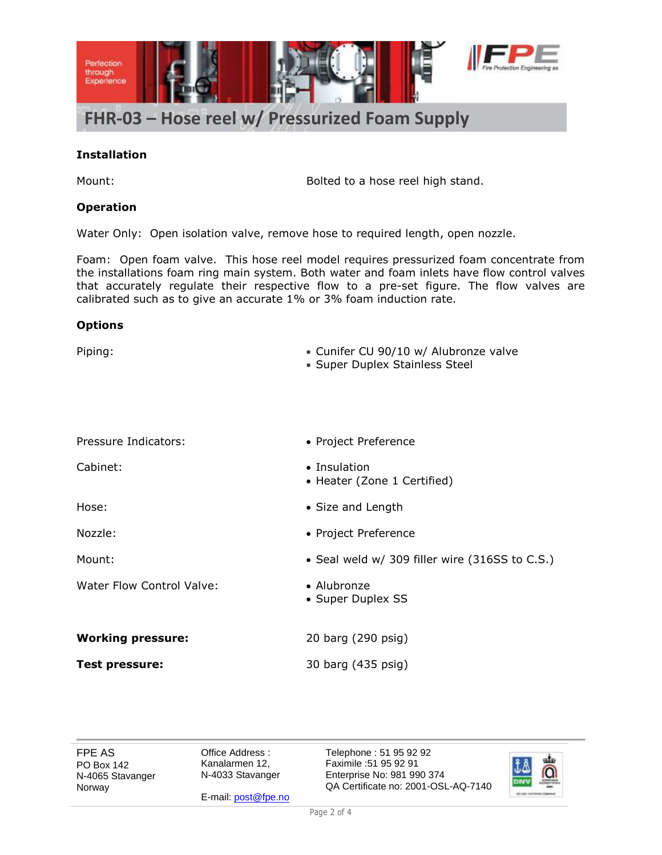

#### **Installation**

Mount: Mount: Bolted to a hose reel high stand.

#### **Operation**

Water Only: Open isolation valve, remove hose to required length, open nozzle.

Foam: Open foam valve. This hose reel model requires pressurized foam concentrate from the installations foam ring main system. Both water and foam inlets have flow control valves that accurately regulate their respective flow to a pre-set figure. The flow valves are calibrated such as to give an accurate 1% or 3% foam induction rate.

#### **Options**

| Piping:                          | • Cunifer CU 90/10 w/ Alubronze valve<br>• Super Duplex Stainless Steel |
|----------------------------------|-------------------------------------------------------------------------|
|                                  |                                                                         |
| Pressure Indicators:             | • Project Preference                                                    |
| Cabinet:                         | • Insulation<br>• Heater (Zone 1 Certified)                             |
| Hose:                            | • Size and Length                                                       |
| Nozzle:                          | • Project Preference                                                    |
| Mount:                           | • Seal weld w/ 309 filler wire (316SS to C.S.)                          |
| <b>Water Flow Control Valve:</b> | • Alubronze<br>• Super Duplex SS                                        |
| <b>Working pressure:</b>         | 20 barg (290 psig)                                                      |
| <b>Test pressure:</b>            | 30 barg (435 psig)                                                      |

FPE AS PO Box 142 N-4065 Stavanger Norway

Office Address : Kanalarmen 12, N-4033 Stavanger

E-mail[: post@fpe.no](mailto:post@fpe.no)

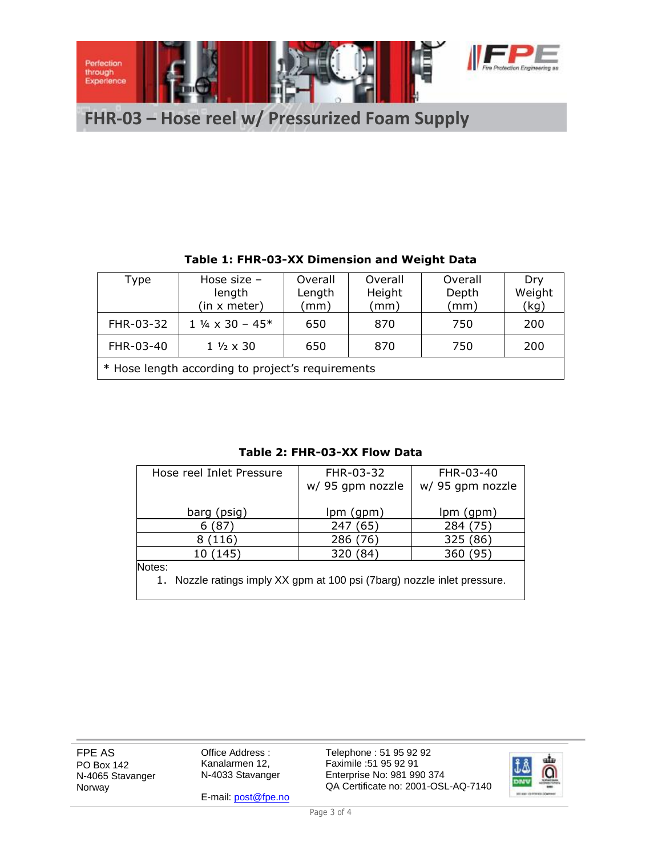

| Table 1: Frik-03-AA Dimension and weight Data     |                                |         |         |         |        |  |  |
|---------------------------------------------------|--------------------------------|---------|---------|---------|--------|--|--|
| Type                                              | Hose size $-$                  | Overall | Overall | Overall | Dry    |  |  |
|                                                   | length                         | Length  | Height  | Depth   | Weight |  |  |
|                                                   | (in x meter)                   | (mm)    | (mm)    | (mm)    | (kg)   |  |  |
| FHR-03-32                                         | $1\frac{1}{4} \times 30 - 45*$ | 650     | 870     | 750     | 200    |  |  |
| FHR-03-40                                         | $1\frac{1}{2} \times 30$       | 650     | 870     | 750     | 200    |  |  |
| * Hose length according to project's requirements |                                |         |         |         |        |  |  |

# **Table 1: FHR-03-XX Dimension and Weight Data**

#### **Table 2: FHR-03-XX Flow Data**

| Hose reel Inlet Pressure                                                 | FHR-03-32        | FHR-03-40        |  |  |  |
|--------------------------------------------------------------------------|------------------|------------------|--|--|--|
|                                                                          | w/ 95 gpm nozzle | w/ 95 gpm nozzle |  |  |  |
|                                                                          |                  |                  |  |  |  |
| barg (psig)                                                              | lpm (gpm)        | lpm (gpm)        |  |  |  |
| .871                                                                     | 247 (65)         | 284 (75)         |  |  |  |
| 8(116)                                                                   | 286 (76)         | 325 (86)         |  |  |  |
| 10 (145)                                                                 | 320 (84)         | 360 (95)         |  |  |  |
| Notes:                                                                   |                  |                  |  |  |  |
| 1. Nozzle ratings imply XX gpm at 100 psi (7barg) nozzle inlet pressure. |                  |                  |  |  |  |

FPE AS PO Box 142 N-4065 Stavanger Norway

Office Address : Kanalarmen 12, N-4033 Stavanger

E-mail[: post@fpe.no](mailto:post@fpe.no)